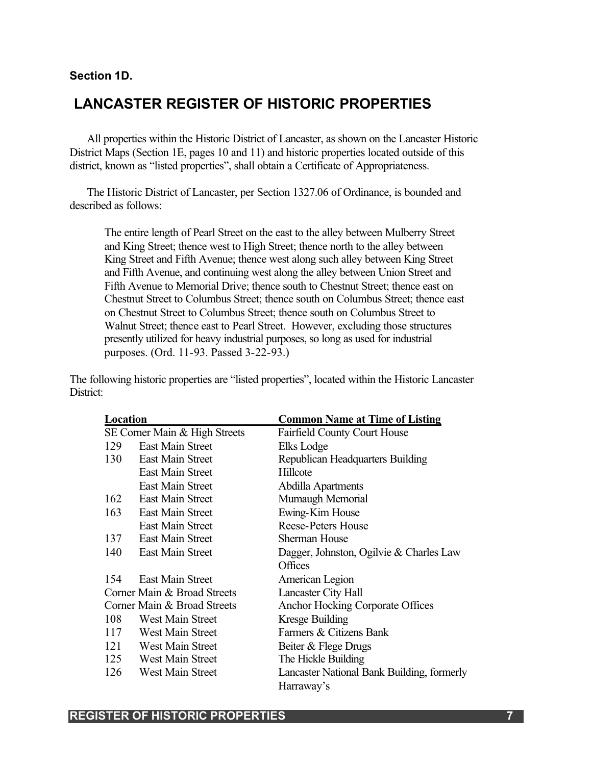#### **Section 1D.**

### **LANCASTER REGISTER OF HISTORIC PROPERTIES**

All properties within the Historic District of Lancaster, as shown on the Lancaster Historic District Maps (Section 1E, pages 10 and 11) and historic properties located outside of this district, known as "listed properties", shall obtain a Certificate of Appropriateness.

The Historic District of Lancaster, per Section 1327.06 of Ordinance, is bounded and described as follows:

The entire length of Pearl Street on the east to the alley between Mulberry Street and King Street; thence west to High Street; thence north to the alley between King Street and Fifth Avenue; thence west along such alley between King Street and Fifth Avenue, and continuing west along the alley between Union Street and Fifth Avenue to Memorial Drive; thence south to Chestnut Street; thence east on Chestnut Street to Columbus Street; thence south on Columbus Street; thence east on Chestnut Street to Columbus Street; thence south on Columbus Street to Walnut Street; thence east to Pearl Street. However, excluding those structures presently utilized for heavy industrial purposes, so long as used for industrial purposes. (Ord. 11-93. Passed 3-22-93.)

The following historic properties are "listed properties", located within the Historic Lancaster District:

| Location                      |                         | <b>Common Name at Time of Listing</b>      |
|-------------------------------|-------------------------|--------------------------------------------|
| SE Corner Main & High Streets |                         | <b>Fairfield County Court House</b>        |
| 129                           | East Main Street        | Elks Lodge                                 |
|                               | 130 East Main Street    | Republican Headquarters Building           |
|                               | <b>East Main Street</b> | Hillcote                                   |
|                               | <b>East Main Street</b> | Abdilla Apartments                         |
|                               | 162 East Main Street    | Mumaugh Memorial                           |
|                               | 163 East Main Street    | Ewing-Kim House                            |
|                               | <b>East Main Street</b> | <b>Reese-Peters House</b>                  |
| 137                           | East Main Street        | <b>Sherman House</b>                       |
| 140                           | <b>East Main Street</b> | Dagger, Johnston, Ogilvie & Charles Law    |
|                               |                         | Offices                                    |
| 154                           | <b>East Main Street</b> | American Legion                            |
| Corner Main & Broad Streets   |                         | <b>Lancaster City Hall</b>                 |
| Corner Main & Broad Streets   |                         | <b>Anchor Hocking Corporate Offices</b>    |
| 108                           | West Main Street        | Kresge Building                            |
|                               | 117 West Main Street    | Farmers & Citizens Bank                    |
|                               | 121 West Main Street    | Beiter & Flege Drugs                       |
| 125                           | West Main Street        | The Hickle Building                        |
| 126                           | West Main Street        | Lancaster National Bank Building, formerly |
|                               |                         | Harraway's                                 |

#### **REGISTER OF HISTORIC PROPERTIES 7**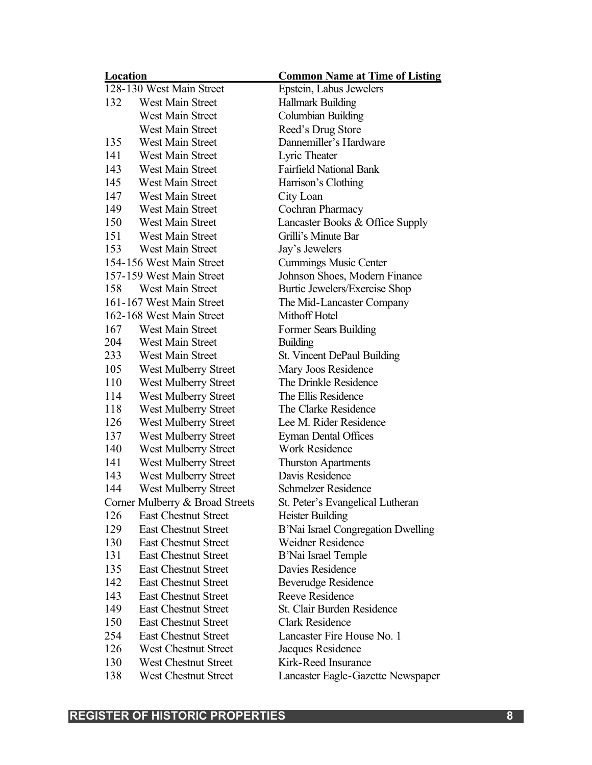| Location                 |                                 | <b>Common Name at Time of Listing</b> |
|--------------------------|---------------------------------|---------------------------------------|
| 128-130 West Main Street |                                 | Epstein, Labus Jewelers               |
| 132                      | <b>West Main Street</b>         | <b>Hallmark Building</b>              |
|                          | West Main Street                | Columbian Building                    |
|                          | <b>West Main Street</b>         | Reed's Drug Store                     |
| 135                      | <b>West Main Street</b>         | Dannemiller's Hardware                |
| 141                      | West Main Street                | Lyric Theater                         |
| 143                      | West Main Street                | <b>Fairfield National Bank</b>        |
| 145                      | West Main Street                | Harrison's Clothing                   |
| 147                      | West Main Street                | City Loan                             |
| 149                      | <b>West Main Street</b>         | Cochran Pharmacy                      |
| 150                      | West Main Street                | Lancaster Books & Office Supply       |
| 151                      | West Main Street                | Grilli's Minute Bar                   |
| 153                      | West Main Street                | Jay's Jewelers                        |
|                          | 154-156 West Main Street        | <b>Cummings Music Center</b>          |
|                          | 157-159 West Main Street        | Johnson Shoes, Modern Finance         |
| 158                      | West Main Street                | Burtic Jewelers/Exercise Shop         |
|                          | 161-167 West Main Street        | The Mid-Lancaster Company             |
|                          | 162-168 West Main Street        | Mithoff Hotel                         |
| 167                      | West Main Street                | Former Sears Building                 |
| 204                      | West Main Street                | <b>Building</b>                       |
| 233                      | West Main Street                | St. Vincent DePaul Building           |
| 105                      | West Mulberry Street            | Mary Joos Residence                   |
| 110                      | West Mulberry Street            | The Drinkle Residence                 |
| 114                      | West Mulberry Street            | The Ellis Residence                   |
| 118                      | West Mulberry Street            | The Clarke Residence                  |
| 126                      | West Mulberry Street            | Lee M. Rider Residence                |
| 137                      | West Mulberry Street            | <b>Eyman Dental Offices</b>           |
| 140                      | West Mulberry Street            | <b>Work Residence</b>                 |
| 141                      | <b>West Mulberry Street</b>     | <b>Thurston Apartments</b>            |
| 143                      | West Mulberry Street            | Davis Residence                       |
| 144                      | West Mulberry Street            | <b>Schmelzer Residence</b>            |
|                          | Corner Mulberry & Broad Streets | St. Peter's Evangelical Lutheran      |
| 126                      | <b>East Chestnut Street</b>     | <b>Heister Building</b>               |
| 129                      | <b>East Chestnut Street</b>     | B'Nai Israel Congregation Dwelling    |
| 130                      | <b>East Chestnut Street</b>     | <b>Weidner Residence</b>              |
| 131                      | <b>East Chestnut Street</b>     | B'Nai Israel Temple                   |
| 135                      | <b>East Chestnut Street</b>     | Davies Residence                      |
| 142                      | <b>East Chestnut Street</b>     | Beverudge Residence                   |
| 143                      | <b>East Chestnut Street</b>     | <b>Reeve Residence</b>                |
| 149                      | <b>East Chestnut Street</b>     | St. Clair Burden Residence            |
| 150                      | <b>East Chestnut Street</b>     | <b>Clark Residence</b>                |
| 254                      | <b>East Chestnut Street</b>     | Lancaster Fire House No. 1            |
| 126                      | <b>West Chestnut Street</b>     | Jacques Residence                     |
| 130                      | <b>West Chestnut Street</b>     | Kirk-Reed Insurance                   |
| 138                      | West Chestnut Street            | Lancaster Eagle-Gazette Newspaper     |

# **REGISTER OF HISTORIC PROPERTIES** 8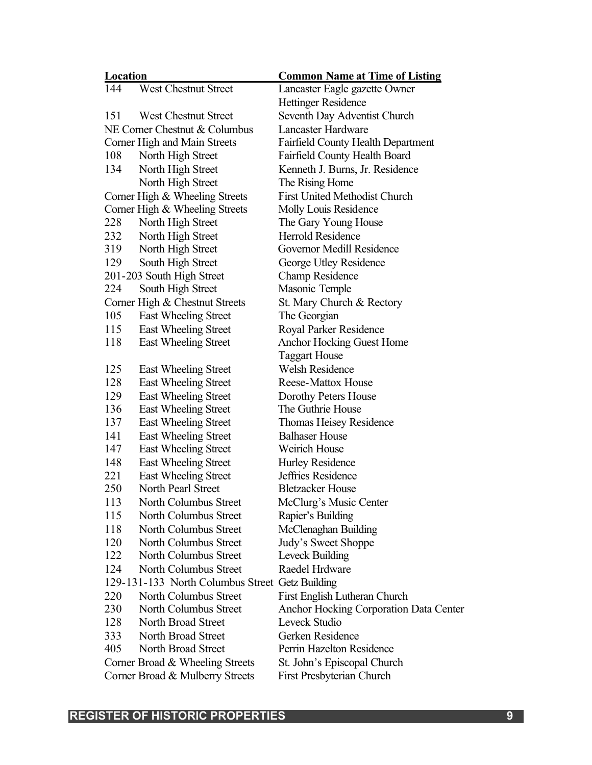| Location                                        |                                 | <b>Common Name at Time of Listing</b>  |
|-------------------------------------------------|---------------------------------|----------------------------------------|
| 144                                             | <b>West Chestnut Street</b>     | Lancaster Eagle gazette Owner          |
|                                                 |                                 | <b>Hettinger Residence</b>             |
| 151                                             | <b>West Chestnut Street</b>     | Seventh Day Adventist Church           |
|                                                 | NE Corner Chestnut & Columbus   | <b>Lancaster Hardware</b>              |
|                                                 | Corner High and Main Streets    | Fairfield County Health Department     |
| 108                                             | North High Street               | Fairfield County Health Board          |
| 134                                             | North High Street               | Kenneth J. Burns, Jr. Residence        |
|                                                 | North High Street               | The Rising Home                        |
|                                                 | Corner High & Wheeling Streets  | <b>First United Methodist Church</b>   |
|                                                 | Corner High & Wheeling Streets  | Molly Louis Residence                  |
| 228                                             | North High Street               | The Gary Young House                   |
| 232                                             | North High Street               | <b>Herrold Residence</b>               |
| 319                                             | North High Street               | Governor Medill Residence              |
| 129                                             | South High Street               | George Utley Residence                 |
|                                                 | 201-203 South High Street       | <b>Champ Residence</b>                 |
| 224                                             | South High Street               | Masonic Temple                         |
|                                                 | Corner High & Chestnut Streets  | St. Mary Church & Rectory              |
| 105                                             | East Wheeling Street            | The Georgian                           |
| 115                                             | East Wheeling Street            | Royal Parker Residence                 |
| 118                                             | East Wheeling Street            | <b>Anchor Hocking Guest Home</b>       |
|                                                 |                                 | <b>Taggart House</b>                   |
| 125                                             | East Wheeling Street            | <b>Welsh Residence</b>                 |
| 128                                             | East Wheeling Street            | <b>Reese-Mattox House</b>              |
| 129                                             | East Wheeling Street            | Dorothy Peters House                   |
| 136                                             | East Wheeling Street            | The Guthrie House                      |
| 137                                             | East Wheeling Street            | Thomas Heisey Residence                |
| 141                                             | East Wheeling Street            | <b>Balhaser House</b>                  |
| 147                                             | East Wheeling Street            | <b>Weirich House</b>                   |
| 148                                             | <b>East Wheeling Street</b>     | Hurley Residence                       |
| 221                                             | East Wheeling Street            | Jeffries Residence                     |
| 250                                             | North Pearl Street              | <b>Bletzacker House</b>                |
| 113                                             | North Columbus Street           | McClurg's Music Center                 |
| 115                                             | North Columbus Street           | Rapier's Building                      |
| 118                                             | North Columbus Street           | McClenaghan Building                   |
| 120                                             | North Columbus Street           | Judy's Sweet Shoppe                    |
| 122                                             | North Columbus Street           | Leveck Building                        |
| 124                                             | North Columbus Street           | Raedel Hrdware                         |
| 129-131-133 North Columbus Street Getz Building |                                 |                                        |
| 220                                             | North Columbus Street           | First English Lutheran Church          |
| 230                                             | North Columbus Street           | Anchor Hocking Corporation Data Center |
| 128                                             | North Broad Street              | Leveck Studio                          |
| 333                                             | North Broad Street              | Gerken Residence                       |
| 405                                             | North Broad Street              | Perrin Hazelton Residence              |
|                                                 | Corner Broad & Wheeling Streets | St. John's Episcopal Church            |
|                                                 | Corner Broad & Mulberry Streets | First Presbyterian Church              |

# **REGISTER OF HISTORIC PROPERTIES 9**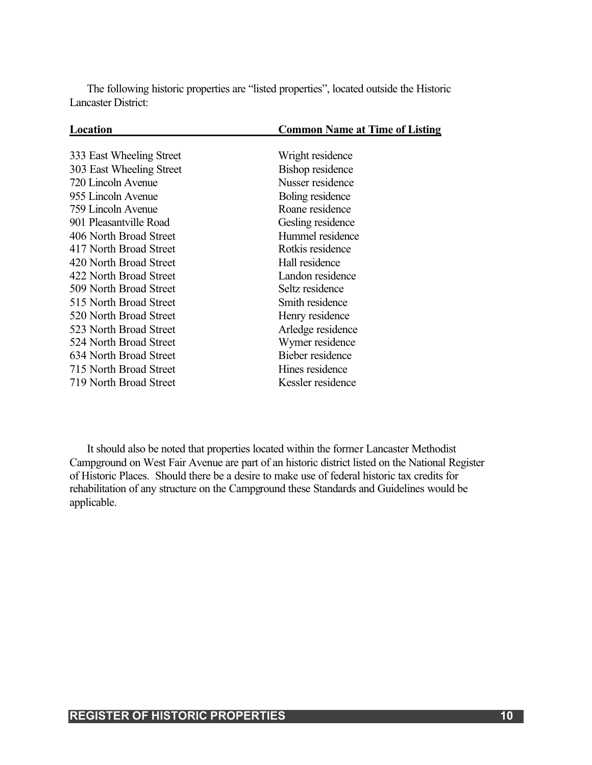The following historic properties are "listed properties", located outside the Historic Lancaster District:

| Location                 | <b>Common Name at Time of Listing</b> |
|--------------------------|---------------------------------------|
|                          |                                       |
| 333 East Wheeling Street | Wright residence                      |
| 303 East Wheeling Street | <b>Bishop residence</b>               |
| 720 Lincoln Avenue       | Nusser residence                      |
| 955 Lincoln Avenue       | Boling residence                      |
| 759 Lincoln Avenue       | Roane residence                       |
| 901 Pleasantville Road   | Gesling residence                     |
| 406 North Broad Street   | Hummel residence                      |
| 417 North Broad Street   | Rotkis residence                      |
| 420 North Broad Street   | Hall residence                        |
| 422 North Broad Street   | Landon residence                      |
| 509 North Broad Street   | Seltz residence                       |
| 515 North Broad Street   | Smith residence                       |
| 520 North Broad Street   | Henry residence                       |
| 523 North Broad Street   | Arledge residence                     |
| 524 North Broad Street   | Wymer residence                       |
| 634 North Broad Street   | Bieber residence                      |
| 715 North Broad Street   | Hines residence                       |
| 719 North Broad Street   | Kessler residence                     |

It should also be noted that properties located within the former Lancaster Methodist Campground on West Fair Avenue are part of an historic district listed on the National Register of Historic Places. Should there be a desire to make use of federal historic tax credits for rehabilitation of any structure on the Campground these Standards and Guidelines would be applicable.